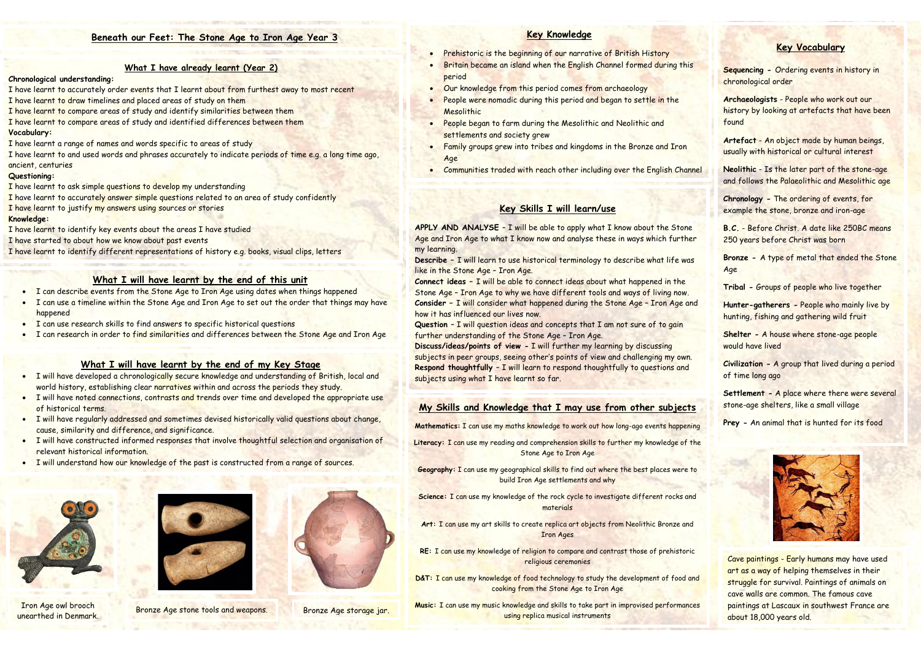#### **What I have already learnt (Year 2)**

#### **Chronological understanding:**

- I have learnt to accurately order events that I learnt about from furthest away to most recent I have learnt to draw timelines and placed areas of study on them
- I have learnt to compare areas of study and identify similarities between them
- I have learnt to compare areas of study and identified differences between them **Vocabulary:**
- I have learnt a range of names and words specific to areas of study
- I have learnt to and used words and phrases accurately to indicate periods of time e.g. a long time ago, ancient, centuries

#### **Questioning:**

I have learnt to ask simple questions to develop my understanding

- I have learnt to accurately answer simple questions related to an area of study confidently
- I have learnt to justify my answers using sources or stories

#### **Knowledge:**

I have learnt to identify key events about the areas I have studied

I have started to about how we know about past events

I have learnt to identify different representations of history e.g. books, visual clips, letters

# **Key Vocabulary**

**Sequencing -** Ordering events in history in chronological order

**Archaeologists** - People who work out our history by looking at artefacts that have been found

**Artefact** - An object made by human beings, usually with historical or cultural interest

- Prehistoric is the beginning of our narrative of British History
- Britain became an island when the English Channel formed during this period
- Our knowledge from this period comes from archaeology
- People were nomadic during this period and began to settle in the Mesolithic
- People began to farm during the Mesolithic and Neolithic and settlements and society grew
- Family groups grew into tribes and kingdoms in the Bronze and Iron Age
- Communities traded with reach other including over the English Channel

**Neolithic** - Is the later part of the stone-age and follows the Palaeolithic and Mesolithic age

**Chronology -** The ordering of events, for example the stone, bronze and iron-age

**B.C.** - Before Christ. A date like 250BC means 250 years before Christ was born

**Bronze -** A type of metal that ended the Stone Age

**Tribal -** Groups of people who live together

**Hunter-gatherers -** People who mainly live by hunting, fishing and gathering wild fruit

**Shelter -** A house where stone-age people would have lived

**Civilization -** A group that lived during a period of time long ago

**Settlement -** A place where there were several stone-age shelters, like a small village

**APPLY AND ANALYSE - I will be able to apply what I know about the Stone** Age and Iron Age to what I know now and analyse these in ways which further my learning.

**Prey -** An animal that is hunted for its food



# **Key Knowledge**

### **What I will have learnt by the end of this unit**

- I can describe events from the Stone Age to Iron Age using dates when things happened
- I can use a timeline within the Stone Age and Iron Age to set out the order that things may have happened
- I can use research skills to find answers to specific historical questions
- I can research in order to find similarities and differences between the Stone Age and Iron Age

# **What I will have learnt by the end of my Key Stage**

- I will have developed a chronologically secure knowledge and understanding of British, local and world history, establishing clear narratives within and across the periods they study.
- I will have noted connections, contrasts and trends over time and developed the appropriate use of historical terms.
- I will have regularly addressed and sometimes devised historically valid questions about change, cause, similarity and difference, and significance.
- I will have constructed informed responses that involve thoughtful selection and organisation of relevant historical information.
- I will understand how our knowledge of the past is constructed from a range of sources.

# **Key Skills I will learn/use**

**Describe –** I will learn to use historical terminology to describe what life was like in the Stone Age – Iron Age.

**Connect ideas –** I will be able to connect ideas about what happened in the Stone Age – Iron Age to why we have different tools and ways of living now. **Consider –** I will consider what happened during the Stone Age – Iron Age and how it has influenced our lives now.

**Question** – I will question ideas and concepts that I am not sure of to gain further understanding of the Stone Age – Iron Age.

**Discuss/ideas/points of view -** I will further my learning by discussing subjects in peer groups, seeing other's points of view and challenging my own. **Respond thoughtfully** – I will learn to respond thoughtfully to questions and subjects using what I have learnt so far.

# **My Skills and Knowledge that I may use from other subjects**

**Mathematics:** I can use my maths knowledge to work out how long-ago events happening

- **Literacy:** I can use my reading and comprehension skills to further my knowledge of the Stone Age to Iron Age
- **Geography:** I can use my geographical skills to find out where the best places were to build Iron Age settlements and why
- **Science:** I can use my knowledge of the rock cycle to investigate different rocks and materials
- **Art:** I can use my art skills to create replica art objects from Neolithic Bronze and Iron Ages
- **RE:** I can use my knowledge of religion to compare and contrast those of prehistoric religious ceremonies
- D&T: I can use my knowledge of food technology to study the development of food and cooking from the Stone Age to Iron Age
- **Music:** I can use my music knowledge and skills to take part in improvised performances using replica musical instruments



Iron Age owl brooch unearthed in Denmark.



Bronze Age stone tools and weapons. Bronze Age storage jar.



Cave paintings - Early humans may have used art as a way of helping themselves in their struggle for survival. Paintings of animals on cave walls are common. The famous cave paintings at Lascaux in southwest France are about 18,000 years old.

# **Beneath our Feet: The Stone Age to Iron Age Year 3**